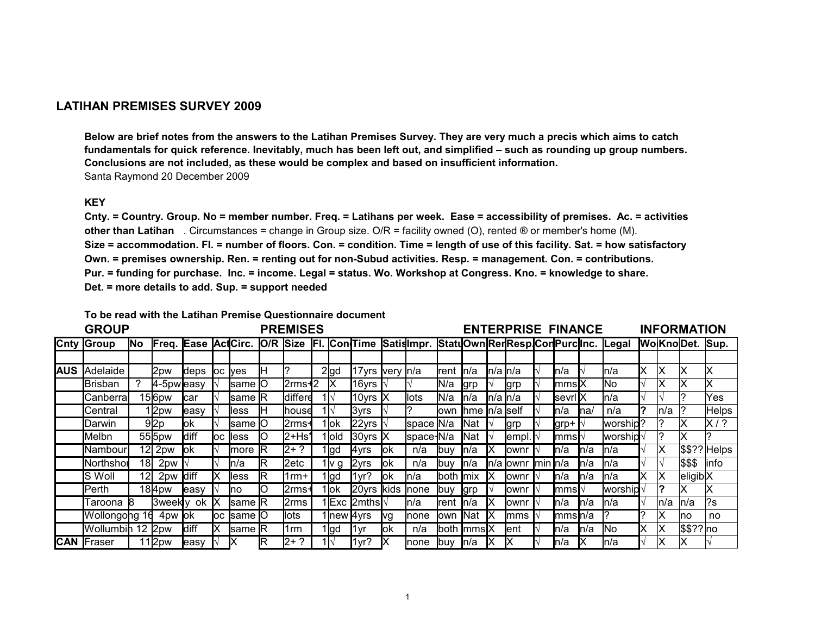## **LATIHAN PREMISES SURVEY 2009**

**fundamentals for quick reference. Inevitably, much has been left out, and simplified – such as rounding up group numbers. Conclusions are not included, as these would be complex and based on insufficient information.** Santa Raymond 20 December 2009 **Below are brief notes from the answers to the Latihan Premises Survey. They are very much a precis which aims to catch**

## **KEY**

other than Latihan Circumstances = change in Group size. O/R = facility owned (O), rented ® or member's home (M). **Cnty. = Country. Group. No = member number. Freq. = Latihans per week. Ease = accessibility of premises. Ac. = activities Size = accommodation. Fl. = number of floors. Con. = condition. Time = length of use of this facility. Sat. = how satisfactory Own. = premises ownership. Ren. = renting out for non-Subud activities. Resp. = management. Con. = contributions. Pur. = funding for purchase. Inc. = income. Legal = status. Wo. Workshop at Congress. Kno. = knowledge to share. Det. = more details to add. Sup. = support needed**

**To be read with the Latihan Premise Questionnaire document**

|            | <b>GROUP</b>      |             |                     | <b>PREMISES</b> |       |                                |          |         |  | <b>ENTERPRISE FINANCE</b> |                           |                 |               |              |                |                           | <b>INFORMATION</b> |                    |                    |      |                                    |    |      |                     |                        |
|------------|-------------------|-------------|---------------------|-----------------|-------|--------------------------------|----------|---------|--|---------------------------|---------------------------|-----------------|---------------|--------------|----------------|---------------------------|--------------------|--------------------|--------------------|------|------------------------------------|----|------|---------------------|------------------------|
|            | <b>Cnty Group</b> | <b>No</b>   | <b>Freq. Ease</b>   |                 |       | ActCirc.                       | O/R Size |         |  |                           | <b>FI. Con</b> Time       |                 | Satislmpr.    |              |                |                           |                    |                    |                    |      | StatuOwnRenResplConPurclinc. Legal |    |      |                     | <b>WolKnoDet. Sup.</b> |
|            |                   |             |                     |                 |       |                                |          |         |  |                           |                           |                 |               |              |                |                           |                    |                    |                    |      |                                    |    |      |                     |                        |
| <b>AUS</b> | Adelaide          |             | 2pw                 | deps            |       | loc ives                       | н        |         |  | $2$ gd                    | 17yrs very n/a            |                 |               | Irent        | ln/a           | <b>I</b> n/a <b>I</b> n/a |                    |                    | ln/a               |      | In/a                               | ΙX | ΙX   | x                   | ΙX                     |
|            | IBrisban          |             | $4-5$ pwleasy       |                 |       | lsame <b>I</b> O               |          | 2rms+2  |  | IX                        | 16yrs                     |                 |               | lN/a         | <b>grp</b>     |                           | grp                |                    | lmmsIX             |      | <b>INo</b>                         |    | Χ    | х                   |                        |
|            | Canberra          |             | 156pw               | car             |       | same <b>R</b>                  |          | differe |  | 1l√                       | 10yrs $\mathsf{X}$        |                 | llots         | N/a          | ln/a           | $n/a$ $n/a$               |                    |                    | <b>Isevri</b> IX   |      | In/a                               |    |      |                     | Yes                    |
|            | Central           |             | l 2pw               | easy            |       | less                           |          | house   |  | 1l√                       | 3yrs                      |                 |               | lown         | Ihme In/a self |                           |                    |                    | ln/a               | na/  | n/a                                | 12 | n/a  |                     | <b>Helps</b>           |
|            | Darwin            |             | 9 2p                | lok             |       | same <b>I</b> O                |          | 2rms+   |  | 1 jok                     | 22yrs $\vert \cdot \vert$ |                 | space N/a     |              | <b>I</b> Nat   |                           | grp                |                    | grp+               |      | worship?                           |    |      | x                   | $ X $ ?                |
|            | Melbn             |             | 555 <sub>pw</sub>   | diff            |       | loc lless                      | O        | 2+Hs'   |  | 1 old                     | $30$ yrs $\mathsf{X}$     |                 | space-N/a     |              | INat           |                           | lempl.             |                    | lmmsl <sup>.</sup> |      | worship                            |    | 7    | x                   |                        |
|            | Nambour           |             | $12$   2pw          | lok             |       | more                           | R        | 2+ ?    |  | 1 gd                      | 4yrs                      | lok             | n/a           | lbuv         | ln/a           |                           | lownr              |                    | ln/a               | ln/a | ln/a                               |    | ΙX   |                     | $ \$$ \$?? Helps       |
|            | Northshol         | 18 <b> </b> | 2pw                 |                 |       | ln/a                           | R        | 2etc    |  | 1 Iv g                    | 2yrs                      | lok             | n/a           | lbuv         | ln/a           |                           | n/a <b>l</b> ownr  | $\liminf$ $\ln$ /a |                    | ln/a | ln/a                               |    |      | \$\$\$              | linfo                  |
|            | S Woll            | 12          | 2pw diff            |                 |       | less                           | R        | 1rm+    |  | 1 gd                      | 1yr?                      | $\mathsf{I}$ ok | ln/a          | both mix     |                |                           | lownr              |                    | <b>I</b> n/a       | ln/a | ln/a                               |    | ΙX   | eligib <sub>X</sub> |                        |
|            | IPerth            |             | $18$ <sup>4pw</sup> | leasy           |       | Ino                            | Ő        | l2rms+  |  | 1lok                      | 20yrs kids                |                 | <b>Inone</b>  | <b>I</b> buy | <b>grp</b>     |                           | lownr              |                    | lmmsl∖             |      | worship                            |    |      | х                   |                        |
|            | Taroona           |             | 3weekly ok          |                 |       | $\mathsf{lsame}$ $\mathsf{IR}$ |          | 2rms    |  |                           | 1Exc  2mths √             |                 | <b>I</b> n/a  | Irent        | ln/a           |                           | lownr              |                    | ln/a               | ln/a | ln/a                               |    | ln/a | ln/a                | 2s                     |
|            | Wollongong 16     |             | 4pw lok             |                 | loc l | <b>Isame IO</b>                |          | lots    |  |                           | 1 new 4yrs                | lvg             | <b>Inone</b>  | lown         | <b>Nat</b>     |                           | lmms               |                    | lmmsln/a           |      |                                    |    | ΙX   | ∣no                 | no                     |
|            | Wollumbin 12 2pw  |             |                     | <b>Idiff</b>    | IX    | $ $ same $ R $                 |          | 1rm     |  | 1gd                       | l1yr                      | lok             | n/a           |              | both mmsIX     |                           | lent               |                    | <b>I</b> n/a       | ln/a | <b>INo</b>                         |    | ΙX   | \$\$?? no           |                        |
|            | <b>CAN</b> Fraser |             | 12pw                | leasy           |       |                                | R        | $2+?$   |  | $1\mathsf{N}$             | 1yr?                      |                 | <b>I</b> none | lbuv         | ln/a           |                           |                    |                    | ln/a               |      | ln/a                               |    |      |                     |                        |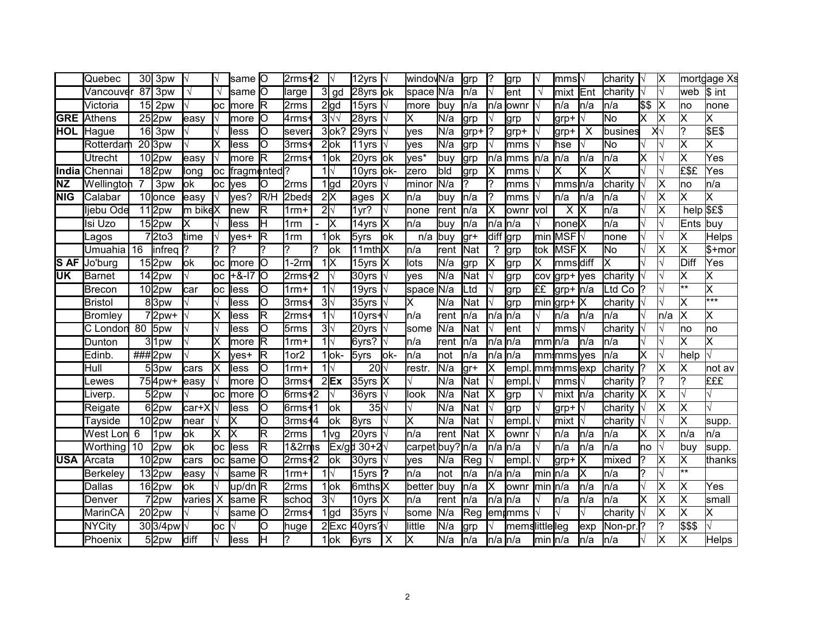|            | Quebec           | 30 <sup>l</sup> | 3pw                 |            |     | lsame <b>I</b> O |          | $2$ rms $+2$     |           |                          | 12yrs                 | I٧   | window <sub>N/a</sub> |       | lgrp       |                   | lgrp           |                   | lmmsl√          |                         | charity |      | ∣X                        |                | mortgage Xs             |
|------------|------------------|-----------------|---------------------|------------|-----|------------------|----------|------------------|-----------|--------------------------|-----------------------|------|-----------------------|-------|------------|-------------------|----------------|-------------------|-----------------|-------------------------|---------|------|---------------------------|----------------|-------------------------|
|            | √ancouve         | 87              | 3pw                 | $\sqrt{ }$ |     | lsame <b>I</b> O |          | large            | 31        | gd                       | 28yrs ok              |      | space N/a             |       | ln/a       |                   | lent           | $\sqrt{ }$        | lmixt           | Ent                     | charity |      | $\overline{\sqrt{ }}$     | web            | \$ int                  |
|            | Victoria         | 15 <sub>l</sub> | 2 <sub>pw</sub>     |            | loc | Imore            | R        | 2rms             |           | $2$ gd                   | 15yrs                 |      | more                  | lbuv  | n/a        | ln/a              | ownr           |                   | n/a             | ln/a                    | n/a     | \$\$ | ΙX                        | lno            | none                    |
| <b>GRE</b> | Athens           |                 | 252pw               | easy       |     | lmore            | Ю        | 4rms             |           | $3\sqrt{2}$              | 28yrs                 |      | х                     | lN/a  | lgrp       |                   | lgrp           |                   | lgrp+           |                         | No.     | X    | ΙX                        | X              | Χ                       |
| HOL        | Hague            |                 | 16 3pw              |            |     | less             | Ŋ        | sever            |           | $3$ ok?                  | 29yrs                 |      | yes                   | N/a   | lgrp+      |                   | grp+           |                   | lgrp+           | $\overline{\mathsf{x}}$ | busines |      | Χ√                        | $\overline{?}$ | <b>\$E\$</b>            |
|            | Rotterdar        |                 | $\overline{20}$ 3pw |            |     | less             | IО       | 3rms             |           | $2$ ok                   | 11yrs                 |      | yes                   | N/a   | lgrp       |                   | lmms           |                   | hse             |                         | No      |      |                           | Χ              | X                       |
|            | Utrecht          |                 | 10 <sub>2pw</sub>   | easy       |     | Imore            | R        | 2rms             |           | 1lok                     | 20yrs                 | lok  | yes*                  | buy   | lgrp       | ln/a              | lmms           | n/a               | ln/a            | In/a                    | ln/a    | X    |                           | Χ              | Yes                     |
| India      | <b>I</b> Chennai |                 | $18$  2pw           | long       |     | oc fragmented?   |          |                  |           | 1 $\mathsf{N}$           | 10yrs ok-             |      | <b>Izero</b>          | bld   | lgrp       |                   | lmms           |                   | lx              |                         | X       |      |                           | £\$£           | Yes                     |
| ΝZ         | Wellington       | 7               | 3 <sub>pw</sub>     | lok        | loc | Ives             | IО       | 2rms             |           | $1$ gd                   | $20$ yrs              | I٧   | <b>I</b> minor        | N/a   | ?          |                   | lmms           |                   | mmsn/a          |                         | charity |      | $\overline{\mathsf{x}}$   | ∣no            | n/a                     |
| <b>NIG</b> | Calabar          |                 | 10 <sub>lonce</sub> | easy       |     | lves?            | R/H      | 2beds            |           | 2x                       | ages                  | ΙX   | n/a                   | lbuy  | ln/a       |                   | mms            |                   | n/a             | In/a                    | n/a     |      | $\boldsymbol{\mathsf{x}}$ | X              | $\overline{\mathsf{x}}$ |
|            | ljebu Ode        |                 | $11$  2pw           | m bikeX    |     | <b>new</b>       | R        | $1rm +$          |           | $2\sqrt{ }$              | 1yr?                  |      | none                  | rent  | ln/a       |                   | ownr           | vol               | X               | IX                      | n/a     |      | $\boldsymbol{\mathsf{x}}$ | help \$£\$     |                         |
|            | Isi Uzo          |                 | $15$  2pw           |            |     | less             | lн       | 1 <sub>rm</sub>  |           | X                        | 14yrs                 | lx   | n/a                   | buy   | ln/a       | $n/a$ $n/a$       |                |                   | nonelX          |                         | n/a     |      |                           | Ents           | buy                     |
|            | agos             |                 | 72to3               | time       |     | yes+             | lR.      | 1rm              |           | 1 lok                    | 5yrs                  | lok  | n/a                   | buy   | lgr+       | diff grp          |                | min               | IMSFI√          |                         | none    |      |                           | X              | Helps                   |
|            | Umuahia          | 16              | linfreg             |            |     |                  |          | ?                |           | lok                      | 11mth <sub>X</sub>    |      | n/a                   | rent  | Nat        | ?                 | grp            | tok               | MSF <b>I</b> X  |                         | No      |      | X                         | Χ              | $$+mor$                 |
| <b>SAF</b> | Jo'burg          |                 | 152pw               | lok        | loc | <b>Imore</b>     | lО       | $-2rm$           |           | $1\overline{\mathsf{X}}$ | 15yrs                 | IX   | lots                  | N/a   | grp        |                   | grp            | X                 | mmsdiff         |                         | Χ       |      |                           | Diff           | Yes                     |
| UK         | Barnet           |                 | 142pw               |            | loc | $+8-17$          | lо       | $2$ rms+         | $\cdot$ 2 |                          | 30yrs                 |      | yes                   | N/a   | Nat        |                   | grp            | cov               | lgrp+           | <b>l</b> yes            | charity |      |                           | Χ              | X                       |
|            | Brecon           |                 | $10$  2pw           | car        | loc | less             | Ю        | $1$ rm $+$       |           | $1\mathsf{N}$            | 19yrs                 |      | space                 | N/a   | Ltd        |                   | grp            | ££                | lgrp+  n/a      |                         | td Co   |      |                           | $***$          | $\overline{\mathsf{x}}$ |
|            | <b>Bristol</b>   |                 | 83pw                |            |     | less             | O        | 3rms             |           | $3\sqrt{ }$              | 35yrs                 |      | Χ                     | N/a   | Nat        |                   | grp            | min               | grp+            | ΙX                      | charity |      |                           | Χ              | $***$                   |
|            | Bromley          |                 | 72pw+               |            |     | less             | R        | $2$ rms          |           | $1\sqrt{ }$              | ∣10yrs <b>-l</b> √    |      | ln/a                  | rent  | n/a        | $n/a \ln/a$       |                |                   | ln/a            | ln/a                    | n/a     |      | n/a                       | Χ              | Χ                       |
|            | C Londor         | 80              | 5pw                 |            |     | less             | lО       | 5rms             |           | $3\sqrt{ }$              | 20yrs                 |      | <b>s</b> ome          | N/a   | Nat        |                   | lent           |                   | lmms            |                         | charity |      |                           | no             | no                      |
|            | Dunton           |                 | 31pw                |            |     | more             | R        | $1rm +$          |           | $1\sqrt{ }$              | 6yrs?                 |      | ln/a                  | Irent | ln/a       | n/a n/a           |                | mm                | ln/a            | ln/a                    | n/a     |      |                           | X              | X                       |
|            | Edinb.           |                 | ###2pw              |            |     | ves+             | ΙR       | 1or <sub>2</sub> |           | $1$ ok-                  | 5yrs                  | lok- | ln/a                  | Inot  | ln/a       | $n/a$ $n/a$       |                |                   | mm mms yes      |                         | ln/a    | Χ    |                           | help           |                         |
|            | Hull             |                 | 53pw                | cars       |     | lless            | lО       | $1$ rm+          |           | $1\mathsf{N}$            | $20\sqrt{ }$          |      | restr.                | N/a   | lgr+       |                   | empl           |                   | mmmmsexp        |                         | charity |      | $\boldsymbol{\mathsf{x}}$ | X              | not av                  |
|            | _ewes            |                 | 754pw+              | easy       |     | <b>Imore</b>     | lО       | 3rms             |           | $2$ $Ex$                 | 35yrs                 | ΙX   |                       | N/a   | Nat        |                   | empl           |                   | lmms <b> </b> √ |                         | charity |      | $\overline{\phantom{a}}$  | $\overline{?}$ | £££                     |
|            | ∟iverp.          |                 | 52pw                |            | loc | Imore            | 0        | 6rms+            | 2         |                          | 36yrs                 |      | llook                 | N/a   | Nat        |                   | grp            | $\sqrt{}$         | mixt            | ln/a                    | charity | ΙX   | X                         |                |                         |
|            | Reigate          |                 | 62pw                | car+X      |     | lless            | Ю        | 6rms+            |           | lok                      | $35\sqrt{ }$          |      |                       | N/a   | Nat        |                   | grp            |                   | grp+            |                         | charity |      | X                         | ΙX             |                         |
|            | Tayside          |                 | 10 <sub>2pw</sub>   | near       |     | Iх               | Ю        | 3rms <b>+</b> 4  |           | lok                      | 8yrs                  |      | Χ                     | N/a   | Nat        |                   | empl           |                   | mixt            |                         | charity |      |                           | X              | supp.                   |
|            | West Lon         | 6               | 1pw                 | lok        |     | Χ                | R        | 2rms             |           | 1 <sub>log</sub>         | $20$ yrs              |      | n/a                   | lrent | Nat        |                   | ownr           |                   | n/a             | In/a                    | n/a     | X    | ΙX                        | ∣n/a           | n/a                     |
|            | Worthing         | 10              | 2pw                 | lok        | оc  | lless            | lR.      | 1&2rmhs          |           |                          | lEx/qḋ 30+ <b>2</b> √ |      | carpet buy?           |       | In/a       | ln/a <b>l</b> n/a |                |                   | ln/a            | In/a                    | n/a     | lno  |                           | lbuv           | supp.                   |
| <b>USA</b> | Arcata           |                 | 102pw               | cars       | loc | Isame            | Ю        | 2rms+2           |           | lok                      | 30yrs                 |      | ves                   | N/a   | <b>Reg</b> |                   | empl           |                   | $grp+ X $       |                         | mixed   |      | Χ                         | X              | thanks                  |
|            | <b>Berkeley</b>  |                 | $13$ 2pw            | leasy      |     | Isame            | ΙR       | $1$ rm $+$       |           | $1\mathsf{N}$            | 15yrs                 |      | n/a                   | Inot  | ln/a       | ln/a              | ln/a           | min               | ln/a            | x                       | n/a     |      |                           | $\star\star$   |                         |
|            | Dallas           |                 | 162pw               | lok        |     | up/dn R          |          | 2rms             |           | 1lok                     | 6mths <sub>X</sub>    |      | better                | buy   | n/a        |                   | lownr          | min               | ln/a            | ln/a                    | n/a     |      | X                         | X              | Yes                     |
|            | Denver           |                 | 72pw                | varies     | X   | <b>Same</b>      | <b>R</b> | schoc            |           | $3\sqrt{ }$              | 10yrs                 |      | n/a                   | Irent | ln/a       | ln/a              | ln/a           |                   | n/a             | ln/a                    | n/a     | X    | Χ                         | Χ              | small                   |
|            | <b>MarinCA</b>   |                 | $20$ 2pw            |            |     | same             | Ŋ        | 2rms             |           | $1$ $\alpha$             | 35yrs                 |      | some                  | N/a   | Reg        |                   | lemdmms        |                   |                 |                         | charity |      | X                         | Χ              | X                       |
|            | <b>NYCity</b>    |                 | 303/4pw             |            | loc |                  | lO       | huge             |           | $2$ Exc                  | 40yrs?√               |      | little                | N/a   | grp        |                   | memslittlelleg |                   |                 | exp                     | Non-pr  |      | ?                         | \$\$\$         |                         |
|            | Phoenix          |                 | 52pw                | diff       |     | lless            | lн       | 7                |           | 1lok                     | 6yrs                  | X    | lх                    | N/a   | ln/a       | <b>I</b> n/a In/a |                | lmin <b>I</b> n/a |                 | ln/a                    | ln/a    |      | X                         | X              | Helps                   |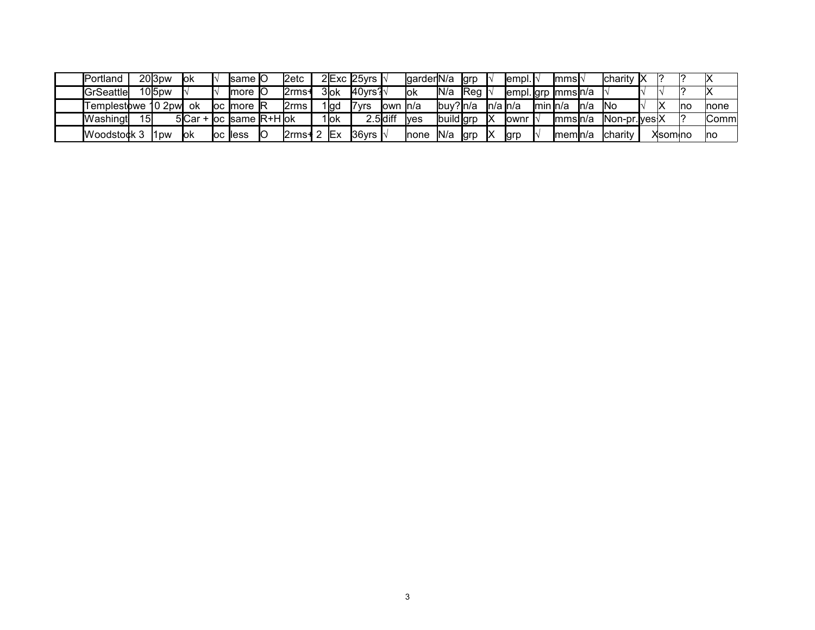| <b>IPortland</b>   |    | 20 <sub>3pw</sub> | lok | <b>Isame IO</b>                         | l2etc              |      | $2$ Exc 25yrs $\sqrt{ }$  |                           | lgarder <b>I</b> N/a |           | <b>grp</b>   |               | [empl.]            |           | Immsl∿   |      | <b>Icharity IX</b> |         |     |              |
|--------------------|----|-------------------|-----|-----------------------------------------|--------------------|------|---------------------------|---------------------------|----------------------|-----------|--------------|---------------|--------------------|-----------|----------|------|--------------------|---------|-----|--------------|
| GrSeattle          |    | 105 <sub>pw</sub> |     | Imore IO                                | .2rms              | 3ok  | 40vrs? ∖                  |                           | lok                  | IN/a      | <b>I</b> Rea |               | empl. grp  mms n/a |           |          |      |                    |         |     |              |
| Templestbwe 10 2pw |    |                   | .ok | loc Imore IR                            | 2rms               | 1 gd | '7yrs                     | <b>l</b> own <b>I</b> n/a |                      | lbuv?ln/a |              | $ln/a$ $ln/a$ |                    | lmin In/a |          | ln/a | <b>INc</b>         |         | Ino | <b>Inone</b> |
| Washingt           | 15 |                   |     | $5$ Car + $\alpha$ same $\text{R+H}$ ok |                    | 1lok |                           | 2.5diff                   | <b>Ives</b>          | build grr |              | IX            | <b>l</b> ownr      |           | Immsln/a |      | $Non-pr.  ves X$   |         |     | ∣Comm        |
| Woodstock 3        |    | 11 <sub>DW</sub>  | lok | loc lless                               | $2$ rms $+ 2$ $Ex$ |      | $36$ vrs $\mathsf{I}\vee$ |                           | <b>Inone</b>         | N/a       | <b>grp</b>   | IX            | <b>grp</b>         |           | Imemln/a |      | <b>Icharity</b>    | Xsomino |     | <b>Ino</b>   |